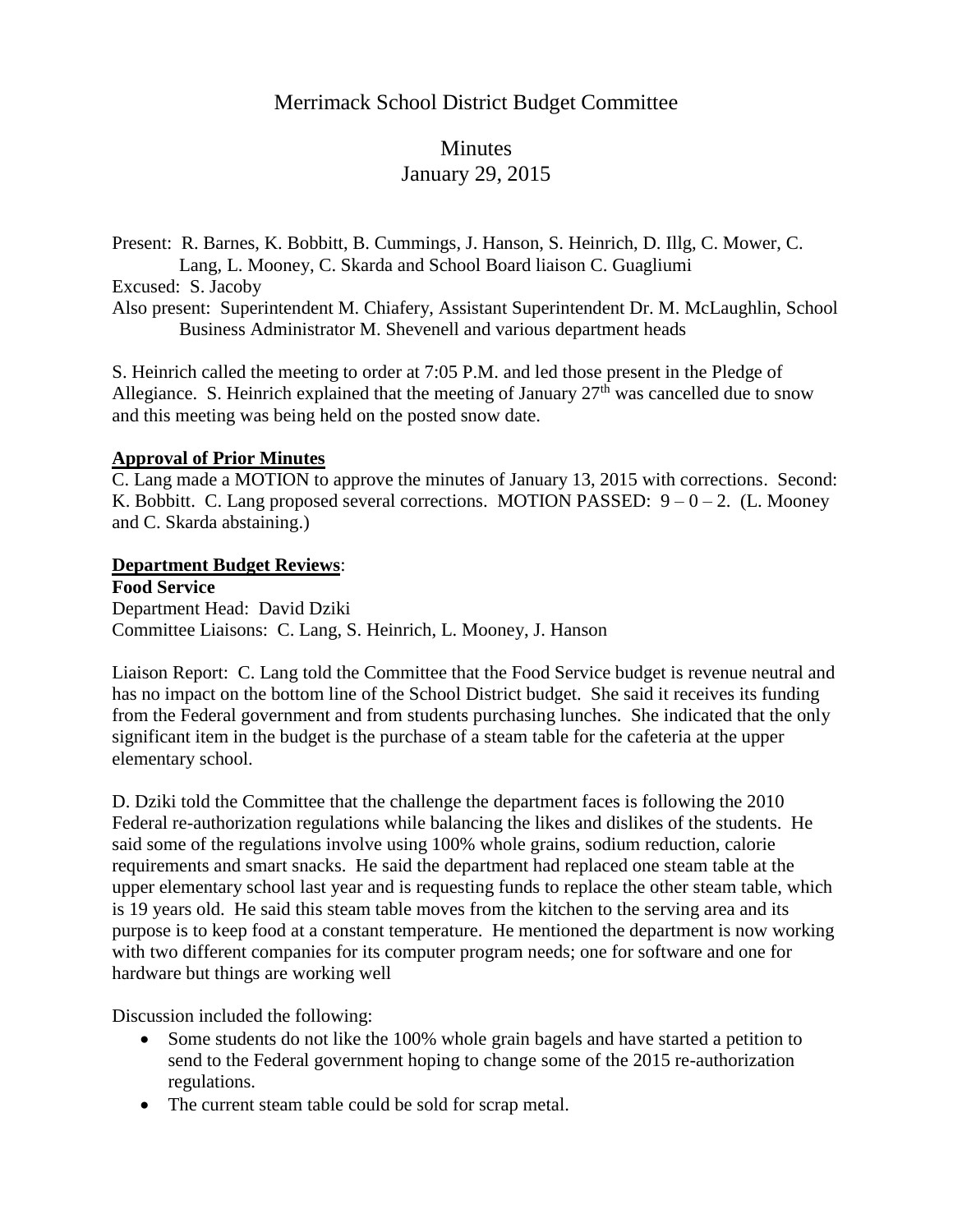# Merrimack School District Budget Committee

# Minutes January 29, 2015

Present: R. Barnes, K. Bobbitt, B. Cummings, J. Hanson, S. Heinrich, D. Illg, C. Mower, C. Lang, L. Mooney, C. Skarda and School Board liaison C. Guagliumi Excused: S. Jacoby

Also present: Superintendent M. Chiafery, Assistant Superintendent Dr. M. McLaughlin, School Business Administrator M. Shevenell and various department heads

S. Heinrich called the meeting to order at 7:05 P.M. and led those present in the Pledge of Allegiance. S. Heinrich explained that the meeting of January  $27<sup>th</sup>$  was cancelled due to snow and this meeting was being held on the posted snow date.

#### **Approval of Prior Minutes**

C. Lang made a MOTION to approve the minutes of January 13, 2015 with corrections. Second: K. Bobbitt. C. Lang proposed several corrections. MOTION PASSED:  $9 - 0 - 2$ . (L. Mooney and C. Skarda abstaining.)

#### **Department Budget Reviews**:

**Food Service** Department Head: David Dziki Committee Liaisons: C. Lang, S. Heinrich, L. Mooney, J. Hanson

Liaison Report: C. Lang told the Committee that the Food Service budget is revenue neutral and has no impact on the bottom line of the School District budget. She said it receives its funding from the Federal government and from students purchasing lunches. She indicated that the only significant item in the budget is the purchase of a steam table for the cafeteria at the upper elementary school.

D. Dziki told the Committee that the challenge the department faces is following the 2010 Federal re-authorization regulations while balancing the likes and dislikes of the students. He said some of the regulations involve using 100% whole grains, sodium reduction, calorie requirements and smart snacks. He said the department had replaced one steam table at the upper elementary school last year and is requesting funds to replace the other steam table, which is 19 years old. He said this steam table moves from the kitchen to the serving area and its purpose is to keep food at a constant temperature. He mentioned the department is now working with two different companies for its computer program needs; one for software and one for hardware but things are working well

Discussion included the following:

- Some students do not like the 100% whole grain bagels and have started a petition to send to the Federal government hoping to change some of the 2015 re-authorization regulations.
- The current steam table could be sold for scrap metal.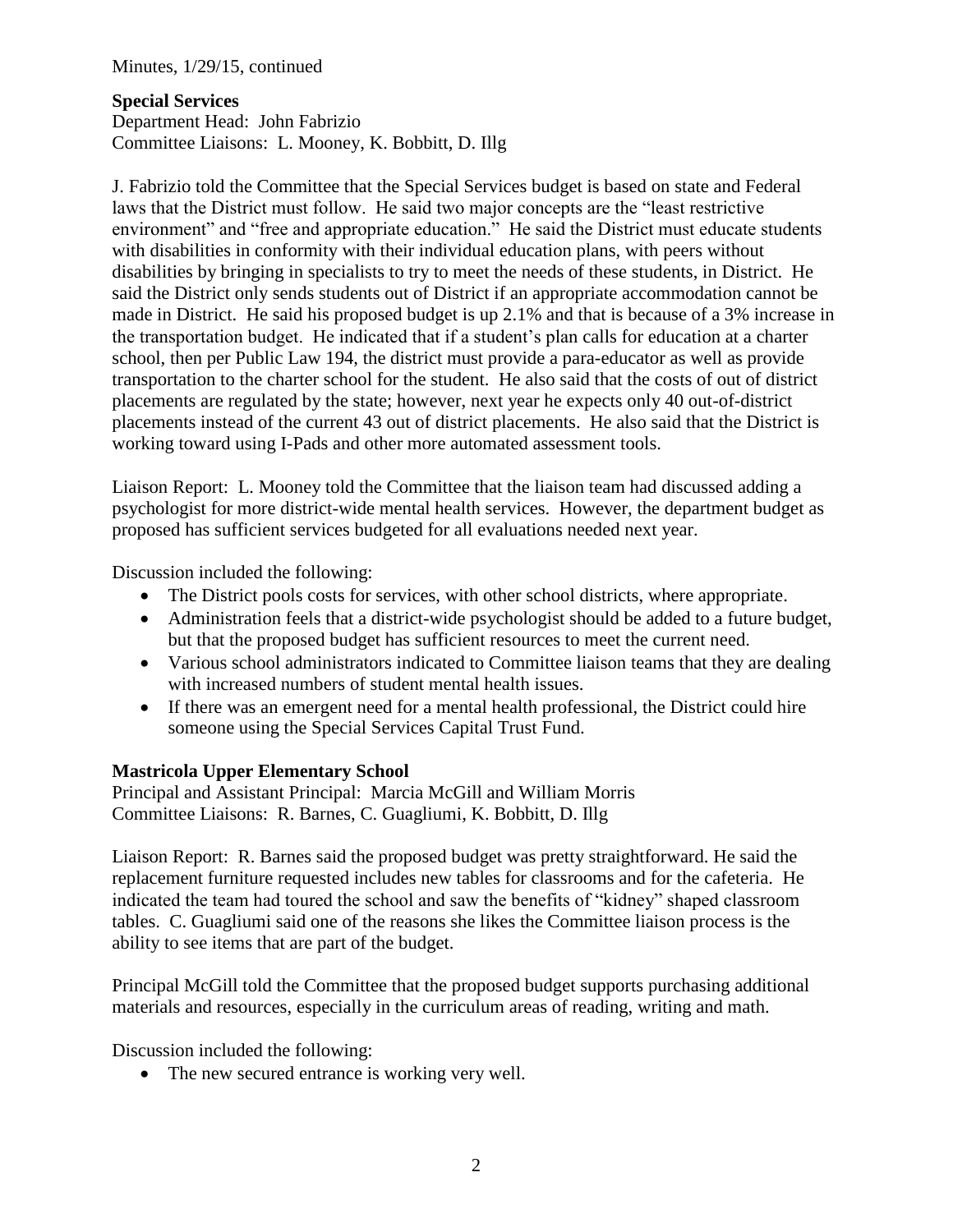Minutes, 1/29/15, continued

### **Special Services**

Department Head: John Fabrizio Committee Liaisons: L. Mooney, K. Bobbitt, D. Illg

J. Fabrizio told the Committee that the Special Services budget is based on state and Federal laws that the District must follow. He said two major concepts are the "least restrictive environment" and "free and appropriate education." He said the District must educate students with disabilities in conformity with their individual education plans, with peers without disabilities by bringing in specialists to try to meet the needs of these students, in District. He said the District only sends students out of District if an appropriate accommodation cannot be made in District. He said his proposed budget is up 2.1% and that is because of a 3% increase in the transportation budget. He indicated that if a student's plan calls for education at a charter school, then per Public Law 194, the district must provide a para-educator as well as provide transportation to the charter school for the student. He also said that the costs of out of district placements are regulated by the state; however, next year he expects only 40 out-of-district placements instead of the current 43 out of district placements. He also said that the District is working toward using I-Pads and other more automated assessment tools.

Liaison Report: L. Mooney told the Committee that the liaison team had discussed adding a psychologist for more district-wide mental health services. However, the department budget as proposed has sufficient services budgeted for all evaluations needed next year.

Discussion included the following:

- The District pools costs for services, with other school districts, where appropriate.
- Administration feels that a district-wide psychologist should be added to a future budget, but that the proposed budget has sufficient resources to meet the current need.
- Various school administrators indicated to Committee liaison teams that they are dealing with increased numbers of student mental health issues.
- If there was an emergent need for a mental health professional, the District could hire someone using the Special Services Capital Trust Fund.

#### **Mastricola Upper Elementary School**

Principal and Assistant Principal: Marcia McGill and William Morris Committee Liaisons: R. Barnes, C. Guagliumi, K. Bobbitt, D. Illg

Liaison Report: R. Barnes said the proposed budget was pretty straightforward. He said the replacement furniture requested includes new tables for classrooms and for the cafeteria. He indicated the team had toured the school and saw the benefits of "kidney" shaped classroom tables. C. Guagliumi said one of the reasons she likes the Committee liaison process is the ability to see items that are part of the budget.

Principal McGill told the Committee that the proposed budget supports purchasing additional materials and resources, especially in the curriculum areas of reading, writing and math.

Discussion included the following:

• The new secured entrance is working very well.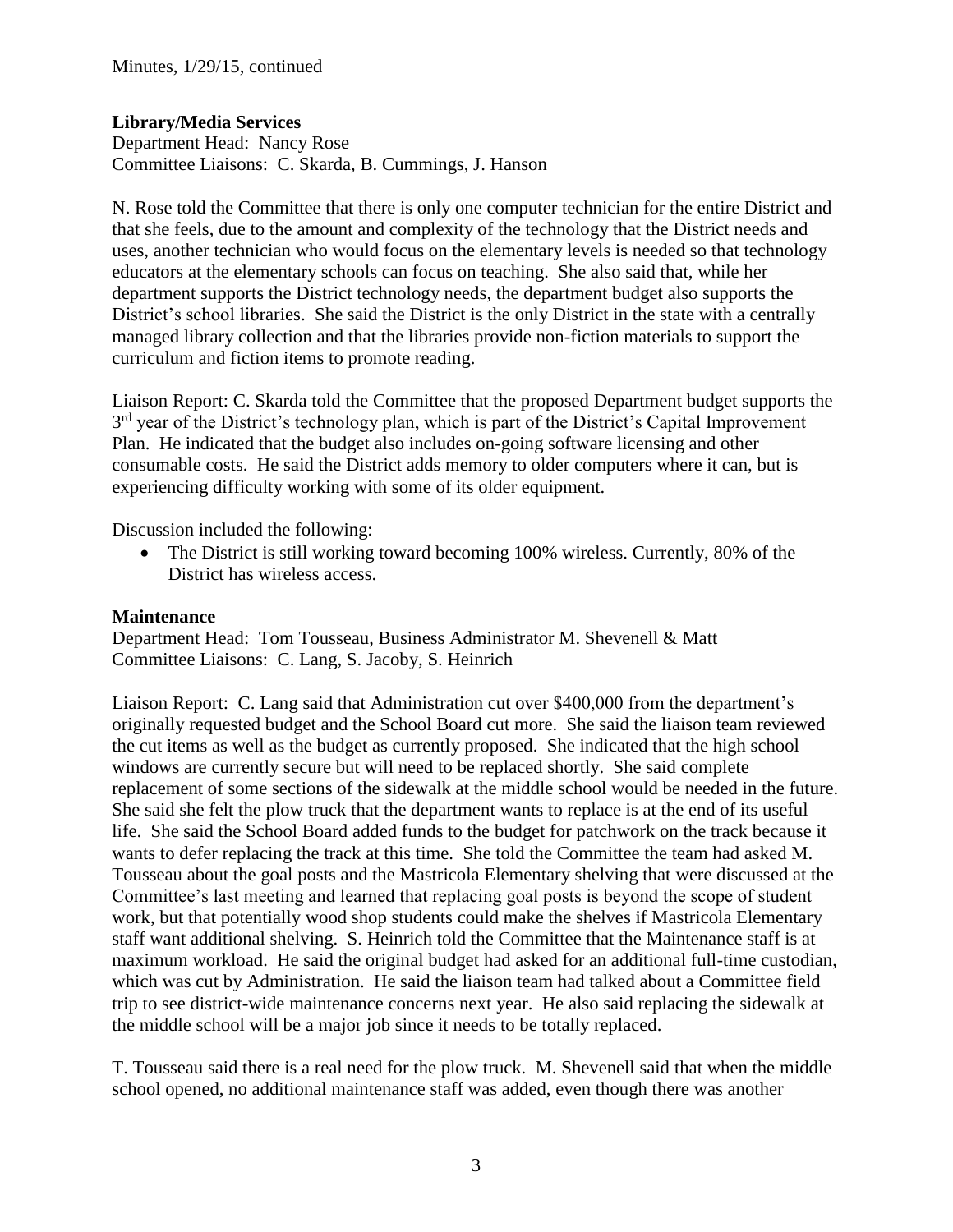# **Library/Media Services**

Department Head: Nancy Rose Committee Liaisons: C. Skarda, B. Cummings, J. Hanson

N. Rose told the Committee that there is only one computer technician for the entire District and that she feels, due to the amount and complexity of the technology that the District needs and uses, another technician who would focus on the elementary levels is needed so that technology educators at the elementary schools can focus on teaching. She also said that, while her department supports the District technology needs, the department budget also supports the District's school libraries. She said the District is the only District in the state with a centrally managed library collection and that the libraries provide non-fiction materials to support the curriculum and fiction items to promote reading.

Liaison Report: C. Skarda told the Committee that the proposed Department budget supports the 3<sup>rd</sup> year of the District's technology plan, which is part of the District's Capital Improvement Plan. He indicated that the budget also includes on-going software licensing and other consumable costs. He said the District adds memory to older computers where it can, but is experiencing difficulty working with some of its older equipment.

Discussion included the following:

• The District is still working toward becoming 100% wireless. Currently, 80% of the District has wireless access.

## **Maintenance**

Department Head: Tom Tousseau, Business Administrator M. Shevenell & Matt Committee Liaisons: C. Lang, S. Jacoby, S. Heinrich

Liaison Report: C. Lang said that Administration cut over \$400,000 from the department's originally requested budget and the School Board cut more. She said the liaison team reviewed the cut items as well as the budget as currently proposed. She indicated that the high school windows are currently secure but will need to be replaced shortly. She said complete replacement of some sections of the sidewalk at the middle school would be needed in the future. She said she felt the plow truck that the department wants to replace is at the end of its useful life. She said the School Board added funds to the budget for patchwork on the track because it wants to defer replacing the track at this time. She told the Committee the team had asked M. Tousseau about the goal posts and the Mastricola Elementary shelving that were discussed at the Committee's last meeting and learned that replacing goal posts is beyond the scope of student work, but that potentially wood shop students could make the shelves if Mastricola Elementary staff want additional shelving. S. Heinrich told the Committee that the Maintenance staff is at maximum workload. He said the original budget had asked for an additional full-time custodian, which was cut by Administration. He said the liaison team had talked about a Committee field trip to see district-wide maintenance concerns next year. He also said replacing the sidewalk at the middle school will be a major job since it needs to be totally replaced.

T. Tousseau said there is a real need for the plow truck. M. Shevenell said that when the middle school opened, no additional maintenance staff was added, even though there was another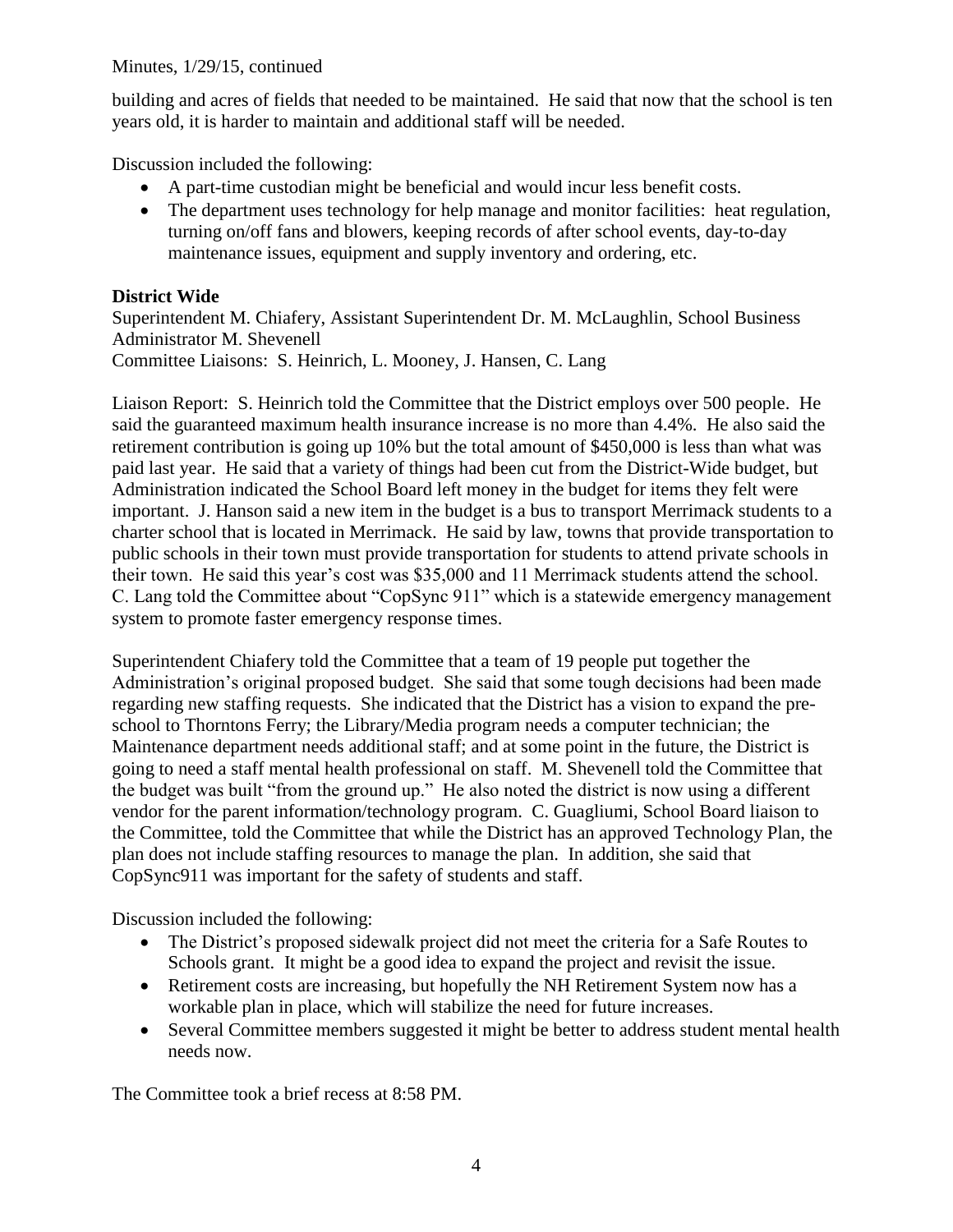### Minutes, 1/29/15, continued

building and acres of fields that needed to be maintained. He said that now that the school is ten years old, it is harder to maintain and additional staff will be needed.

Discussion included the following:

- A part-time custodian might be beneficial and would incur less benefit costs.
- The department uses technology for help manage and monitor facilities: heat regulation, turning on/off fans and blowers, keeping records of after school events, day-to-day maintenance issues, equipment and supply inventory and ordering, etc.

# **District Wide**

Superintendent M. Chiafery, Assistant Superintendent Dr. M. McLaughlin, School Business Administrator M. Shevenell Committee Liaisons: S. Heinrich, L. Mooney, J. Hansen, C. Lang

Liaison Report: S. Heinrich told the Committee that the District employs over 500 people. He said the guaranteed maximum health insurance increase is no more than 4.4%. He also said the retirement contribution is going up 10% but the total amount of \$450,000 is less than what was paid last year. He said that a variety of things had been cut from the District-Wide budget, but Administration indicated the School Board left money in the budget for items they felt were important. J. Hanson said a new item in the budget is a bus to transport Merrimack students to a charter school that is located in Merrimack. He said by law, towns that provide transportation to public schools in their town must provide transportation for students to attend private schools in their town. He said this year's cost was \$35,000 and 11 Merrimack students attend the school. C. Lang told the Committee about "CopSync 911" which is a statewide emergency management system to promote faster emergency response times.

Superintendent Chiafery told the Committee that a team of 19 people put together the Administration's original proposed budget. She said that some tough decisions had been made regarding new staffing requests. She indicated that the District has a vision to expand the preschool to Thorntons Ferry; the Library/Media program needs a computer technician; the Maintenance department needs additional staff; and at some point in the future, the District is going to need a staff mental health professional on staff. M. Shevenell told the Committee that the budget was built "from the ground up." He also noted the district is now using a different vendor for the parent information/technology program. C. Guagliumi, School Board liaison to the Committee, told the Committee that while the District has an approved Technology Plan, the plan does not include staffing resources to manage the plan. In addition, she said that CopSync911 was important for the safety of students and staff.

Discussion included the following:

- The District's proposed sidewalk project did not meet the criteria for a Safe Routes to Schools grant. It might be a good idea to expand the project and revisit the issue.
- Retirement costs are increasing, but hopefully the NH Retirement System now has a workable plan in place, which will stabilize the need for future increases.
- Several Committee members suggested it might be better to address student mental health needs now.

The Committee took a brief recess at 8:58 PM.